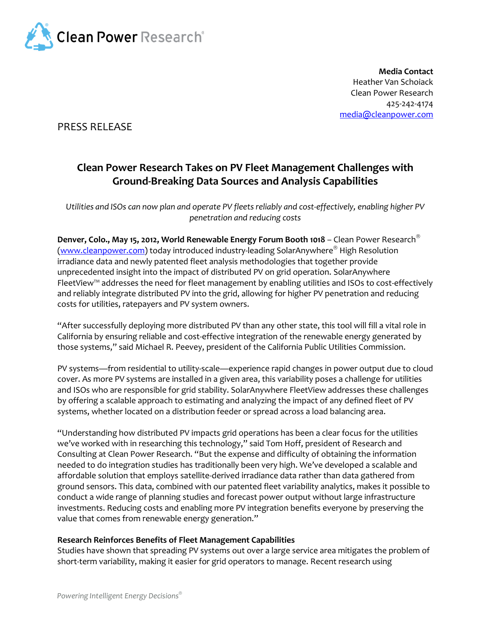

**Media Contact** Heather Van Schoiack Clean Power Research 425-242-4174 [media@cleanpower.com](mailto:media@cleanpower.com)

PRESS RELEASE

# **Clean Power Research Takes on PV Fleet Management Challenges with Ground-Breaking Data Sources and Analysis Capabilities**

Utilities and ISOs can now plan and operate PV fleets reliably and cost-effectively, enabling higher PV *penetration and reducing costs* 

**Denver, Colo., May 15, 2012, World Renewable Energy Forum Booth 1018** – Clean Power Research [\(www.cleanpower.com\)](http://www.cleanpower.com/) today introduced industry-leading SolarAnywhere<sup>®</sup> High Resolution irradiance data and newly patented fleet analysis methodologies that together provide unprecedented insight into the impact of distributed PV on grid operation. SolarAnywhere FleetView™ addresses the need for fleet management by enabling utilities and ISOs to cost-effectively and reliably integrate distributed PV into the grid, allowing for higher PV penetration and reducing costs for utilities, ratepayers and PV system owners.

"After successfully deploying more distributed PV than any other state, this tool will fill a vital role in California by ensuring reliable and cost-effective integration of the renewable energy generated by those systems," said Michael R. Peevey, president of the California Public Utilities Commission.

PV systems—from residential to utility-scale—experience rapid changes in power output due to cloud cover. As more PV systems are installed in a given area, this variability poses a challenge for utilities and ISOs who are responsible for grid stability. SolarAnywhere FleetView addresses these challenges by offering a scalable approach to estimating and analyzing the impact of any defined fleet of PV systems, whether located on a distribution feeder or spread across a load balancing area.

"Understanding how distributed PV impacts grid operations has been a clear focus for the utilities we've worked with in researching this technology," said Tom Hoff, president of Research and Consulting at Clean Power Research. "But the expense and difficulty of obtaining the information needed to do integration studies has traditionally been very high. We've developed a scalable and affordable solution that employs satellite-derived irradiance data rather than data gathered from ground sensors. This data, combined with our patented fleet variability analytics, makes it possible to conduct a wide range of planning studies and forecast power output without large infrastructure investments. Reducing costs and enabling more PV integration benefits everyone by preserving the value that comes from renewable energy generation."

## **Research Reinforces Benefits of Fleet Management Capabilities**

Studies have shown that spreading PV systems out over a large service area mitigates the problem of short-term variability, making it easier for grid operators to manage. Recent research using